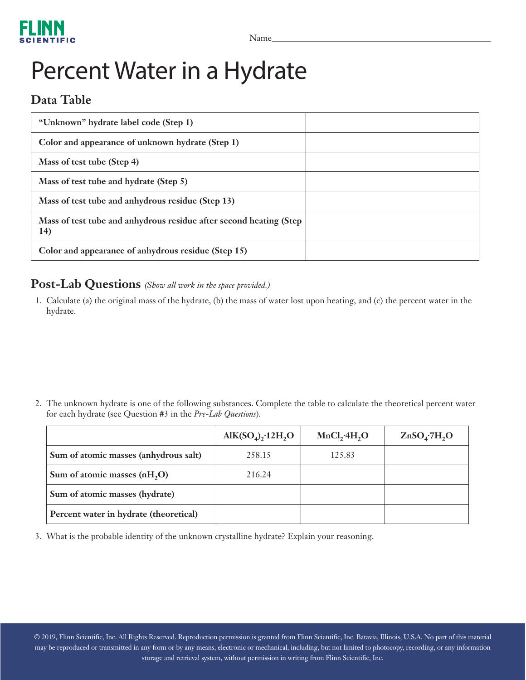

## Percent Water in a Hydrate

## **Data Table**

| "Unknown" hydrate label code (Step 1)                                      |  |
|----------------------------------------------------------------------------|--|
| Color and appearance of unknown hydrate (Step 1)                           |  |
| Mass of test tube (Step 4)                                                 |  |
| Mass of test tube and hydrate (Step 5)                                     |  |
| Mass of test tube and anhydrous residue (Step 13)                          |  |
| Mass of test tube and anhydrous residue after second heating (Step)<br>14) |  |
| Color and appearance of anhydrous residue (Step 15)                        |  |

## **Post-Lab Questions** *(Show all work in the space provided.)*

1. Calculate (a) the original mass of the hydrate, (b) the mass of water lost upon heating, and (c) the percent water in the hydrate.

2. The unknown hydrate is one of the following substances. Complete the table to calculate the theoretical percent water for each hydrate (see Question #3 in the *Pre-Lab Questions*).

|                                          | $\text{AlK(SO}_4)$ , 12H, O | MnCl, 4H, O | ZnSO <sub>4</sub> ·7H <sub>2</sub> O |
|------------------------------------------|-----------------------------|-------------|--------------------------------------|
| Sum of atomic masses (anhydrous salt)    | 258.15                      | 125.83      |                                      |
| Sum of atomic masses (nH <sub>2</sub> O) | 216.24                      |             |                                      |
| Sum of atomic masses (hydrate)           |                             |             |                                      |
| Percent water in hydrate (theoretical)   |                             |             |                                      |

3. What is the probable identity of the unknown crystalline hydrate? Explain your reasoning.

© 2019, Flinn Scientific, Inc. All Rights Reserved. Reproduction permission is granted from Flinn Scientific, Inc. Batavia, Illinois, U.S.A. No part of this material may be reproduced or transmitted in any form or by any means, electronic or mechanical, including, but not limited to photocopy, recording, or any information storage and retrieval system, without permission in writing from Flinn Scientific, Inc.